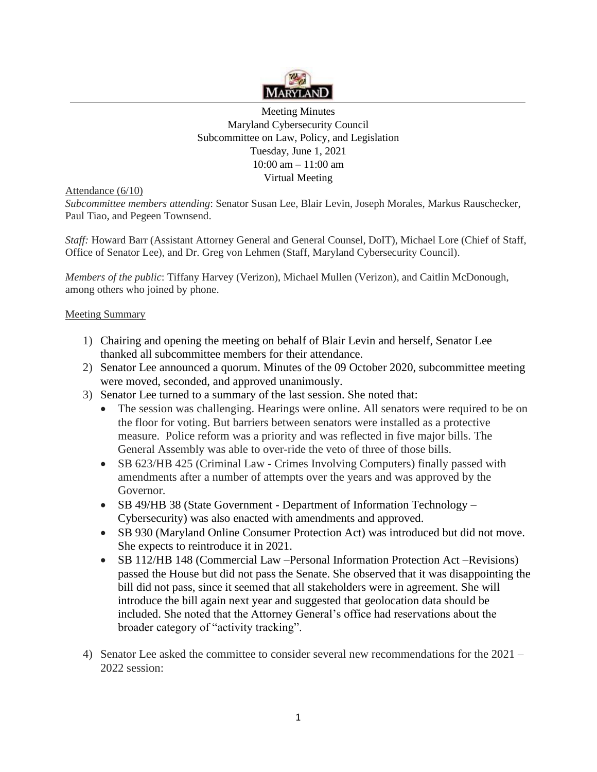

Meeting Minutes Maryland Cybersecurity Council Subcommittee on Law, Policy, and Legislation Tuesday, June 1, 2021 10:00 am – 11:00 am Virtual Meeting

Attendance (6/10)

*Subcommittee members attending*: Senator Susan Lee, Blair Levin, Joseph Morales, Markus Rauschecker, Paul Tiao, and Pegeen Townsend.

*Staff:* Howard Barr (Assistant Attorney General and General Counsel, DoIT), Michael Lore (Chief of Staff, Office of Senator Lee), and Dr. Greg von Lehmen (Staff, Maryland Cybersecurity Council).

*Members of the public*: Tiffany Harvey (Verizon), Michael Mullen (Verizon), and Caitlin McDonough, among others who joined by phone.

## Meeting Summary

- 1) Chairing and opening the meeting on behalf of Blair Levin and herself, Senator Lee thanked all subcommittee members for their attendance.
- 2) Senator Lee announced a quorum. Minutes of the 09 October 2020, subcommittee meeting were moved, seconded, and approved unanimously.
- 3) Senator Lee turned to a summary of the last session. She noted that:
	- The session was challenging. Hearings were online. All senators were required to be on the floor for voting. But barriers between senators were installed as a protective measure. Police reform was a priority and was reflected in five major bills. The General Assembly was able to over-ride the veto of three of those bills.
	- SB 623/HB 425 (Criminal Law Crimes Involving Computers) finally passed with amendments after a number of attempts over the years and was approved by the Governor.
	- SB 49/HB 38 (State Government Department of Information Technology Cybersecurity) was also enacted with amendments and approved.
	- SB 930 (Maryland Online Consumer Protection Act) was introduced but did not move. She expects to reintroduce it in 2021.
	- SB 112/HB 148 (Commercial Law –Personal Information Protection Act –Revisions) passed the House but did not pass the Senate. She observed that it was disappointing the bill did not pass, since it seemed that all stakeholders were in agreement. She will introduce the bill again next year and suggested that geolocation data should be included. She noted that the Attorney General's office had reservations about the broader category of "activity tracking".
- 4) Senator Lee asked the committee to consider several new recommendations for the 2021 2022 session: